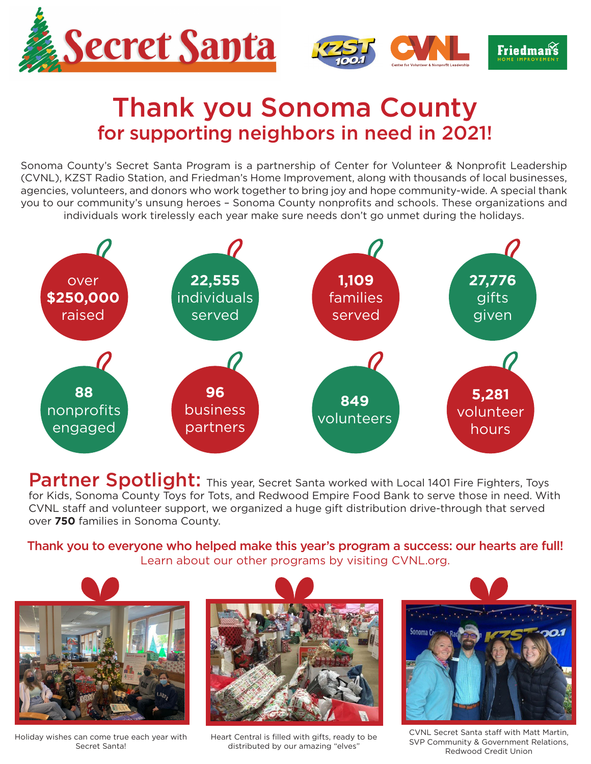





## Thank you Sonoma County for supporting neighbors in need in 2021!

Sonoma County's Secret Santa Program is a partnership of Center for Volunteer & Nonprofit Leadership (CVNL), KZST Radio Station, and Friedman's Home Improvement, along with thousands of local businesses, agencies, volunteers, and donors who work together to bring joy and hope community-wide. A special thank you to our community's unsung heroes – Sonoma County nonprofits and schools. These organizations and individuals work tirelessly each year make sure needs don't go unmet during the holidays.



**Partner Spotlight:** This year, Secret Santa worked with Local 1401 Fire Fighters, Toys for Kids, Sonoma County Toys for Tots, and Redwood Empire Food Bank to serve those in need. With CVNL staff and volunteer support, we organized a huge gift distribution drive-through that served over **750** families in Sonoma County.

Thank you to everyone who helped make this year's program a success: our hearts are full! Learn about our other programs by visiting CVNL.org.



Holiday wishes can come true each year with Secret Santa!



Heart Central is filled with gifts, ready to be distributed by our amazing "elves"



CVNL Secret Santa staff with Matt Martin, SVP Community & Government Relations, Redwood Credit Union